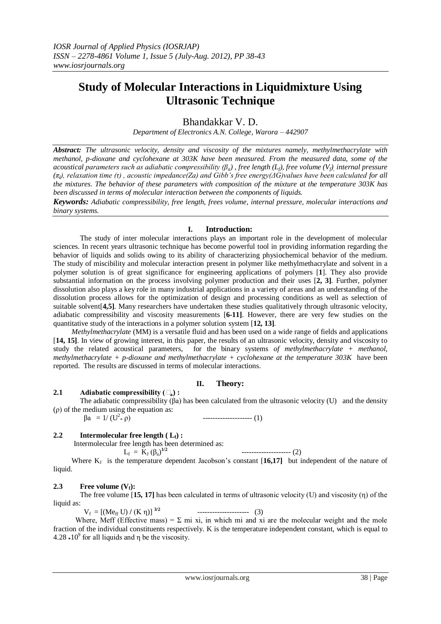# **Study of Molecular Interactions in Liquidmixture Using Ultrasonic Technique**

## Bhandakkar V. D.

*Department of Electronics A.N. College, Warora – 442907*

*Abstract: The ultrasonic velocity, density and viscosity of the mixtures namely, methylmethacrylate with methanol, p-dioxane and cyclohexane at 303K have been measured. From the measured data, some of the acoustical parameters such as adiabatic compressibility (βa) , free length (Lf), free volume (Vf), internal pressure (πi), relaxation time (τ) , acoustic impedance(Za) and Gibb's free energy(ΔG)values have been calculated for all the mixtures. The behavior of these parameters with composition of the mixture at the temperature 303K has been discussed in terms of molecular interaction between the components of liquids.*

*Keywords: Adiabatic compressibility, free length, frees volume, internal pressure, molecular interactions and binary systems.*

#### **I. Introduction:**

The study of inter molecular interactions plays an important role in the development of molecular sciences. In recent years ultrasonic technique has become powerful tool in providing information regarding the behavior of liquids and solids owing to its ability of characterizing physiochemical behavior of the medium. The study of miscibility and molecular interaction present in polymer like methylmethacrylate and solvent in a polymer solution is of great significance for engineering applications of polymers [**1**]. They also provide substantial information on the process involving polymer production and their uses [**2, 3]**. Further, polymer dissolution also plays a key role in many industrial applications in a variety of areas and an understanding of the dissolution process allows for the optimization of design and processing conditions as well as selection of suitable solvent[**4,5]**. Many researchers have undertaken these studies qualitatively through ultrasonic velocity, adiabatic compressibility and viscosity measurements [**6-11]**. However, there are very few studies on the quantitative study of the interactions in a polymer solution system [**12, 13]**.

 *Methylmethacrylate* (MM) is a versatile fluid and has been used on a wide range of fields and applications [**14, 15]**. In view of growing interest, in this paper, the results of an ultrasonic velocity, density and viscosity to study the related acoustical parameters, for the binary systems *of methylmethacrylate + methanol, methylmethacrylate + p-dioxane and methylmethacrylate + cyclohexane at the temperature 303K* have been reported. The results are discussed in terms of molecular interactions.

#### **II. Theory:**

#### **2.1 Adiabatic compressibility (** $\Box$ **) <b>:**

The adiabatic compressibility  $(\beta a)$  has been calculated from the ultrasonic velocity (U) and the density (ρ) of the medium using the equation as:

 $βa = 1/(U<sup>2</sup> * ρ)$ \* ρ) -------------------- (1)

#### **2.2 Intermolecular free length**  $(L_f)$  **:**

 Intermolecular free length has been determined as: -------------------- (2)

$$
f_{\rm f} = \tilde{K}_{\rm J} (\beta_{\rm a})^{1/2}
$$

 $L_f$ Where  $K_J$  is the temperature dependent Jacobson's constant [16,17] but independent of the nature of liquid.

#### **2.3 Free volume**  $(V_f)$ **:**

The free volume [**15, 17]** has been calculated in terms of ultrasonic velocity (U) and viscosity (η) of the liquid as:

 $V_f = [(M e_{ff} U) / (K \eta)]^{3/2}$ --------------------- (3)

Where, Meff (Effective mass) =  $\Sigma$  mi xi, in which mi and xi are the molecular weight and the mole fraction of the individual constituents respectively. K is the temperature independent constant, which is equal to  $4.28 * 10<sup>9</sup>$  for all liquids and  $\eta$  be the viscosity.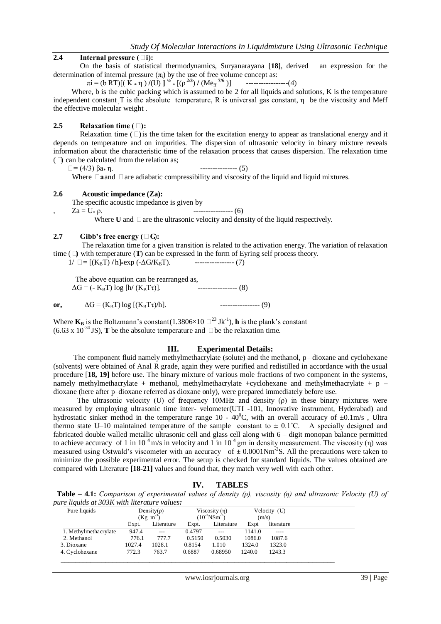#### **2.4 Internal pressure (**□**i):**

On the basis of statistical thermodynamics, Suryanarayana [**18]**, derived an expression for the determination of internal pressure  $(\pi_i)$  by the use of free volume concept as:

 $\pi i = (b \text{ RT})[(K * \eta) / (U)]^{1/2} * [(p^{2/3}) / (Me_{ff}^{7/6})]$  ---------------------(4)

Where, b is the cubic packing which is assumed to be 2 for all liquids and solutions, K is the temperature independent constant T is the absolute temperature, R is universal gas constant,  $\eta$  be the viscosity and Meff the effective molecular weight .

#### **2.5 Relaxation time (□):**

Relaxation time **(**□) is the time taken for the excitation energy to appear as translational energy and it depends on temperature and on impurities. The dispersion of ultrasonic velocity in binary mixture reveals information about the characteristic time of the relaxation process that causes dispersion. The relaxation time  $(\Box)$  can be calculated from the relation as;

 $\Box = (4/3) \beta a * \eta$ . ---------------- (5)

Where **<b>a**and **□** are adiabatic compressibility and viscosity of the liquid and liquid mixtures.

#### **2.6 Acoustic impedance (Za):**

The specific acoustic impedance is given by

 $Za = U_* \rho.$  ---------------- (6)

Where **U** and  $\Box$  are the ultrasonic velocity and density of the liquid respectively.

#### **2.7 Gibb's free energy (** $\Box$ **G):**

The relaxation time for a given transition is related to the activation energy. The variation of relaxation time (**β)** with temperature (**T**) can be expressed in the form of Eyring self process theory.

 $1/\Box = [(K_B T)/h]$ \*exp (- $\Delta G/K_B T$ ). ------------------ (7)

The above equation can be rearranged as,<br> $\Delta G = (-K_{\rm B}T) \log[h/(K_{\rm B}T\tau)].$  ----------------- (8)  $\Delta G = (-K_B T) \log[h/(K_B T \tau)].$ 

**or,** ΔG = (KBT) log [(KBTτ)**/**h]. ---------------- (9)

Where  $K_B$  is the Boltzmann's constant (1.3806×10  $\square$ <sup>23</sup> Jk<sup>-1</sup>), **h** is the plank's constant (6.63 x 10<sup>-34</sup> JS), **T** be the absolute temperature and  $\Box$  be the relaxation time.

#### **III. Experimental Details:**

 The component fluid namely methylmethacrylate (solute) and the methanol, p– dioxane and cyclohexane (solvents) were obtained of Anal R grade, again they were purified and redistilled in accordance with the usual procedure [**18, 19]** before use. The binary mixture of various mole fractions of two component in the systems, namely methylmethacrylate + methanol, methylmethacrylate +cyclohexane and methylmethacrylate + p – dioxane (here after p–dioxane referred as dioxane only), were prepared immediately before use.

 The ultrasonic velocity (U) of frequency 10MHz and density (ρ) in these binary mixtures were measured by employing ultrasonic time inter- velometer(UTI -101, Innovative instrument, Hyderabad) and hydrostatic sinker method in the temperature range  $10 - 40^{\circ}$ C, with an overall accuracy of  $\pm 0.1$ m/s , Ultra thermo state U–10 maintained temperature of the sample constant to  $\pm$  0.1°C. A specially designed and fabricated double walled metallic ultrasonic cell and glass cell along with 6 – digit monopan balance permitted to achieve accuracy of 1 in 10<sup>4</sup> m/s in velocity and 1 in 10<sup>4</sup> gm in density measurement. The viscosity (n) was measured using Ostwald's viscometer with an accuracy of  $\pm$  0.0001Nm<sup>-2</sup>S. All the precautions were taken to minimize the possible experimental error. The setup is checked for standard liquids. The values obtained are compared with Literature **[18-21]** values and found that, they match very well with each other.

**IV. TABLES**

| <b>Table – 4.1:</b> Comparison of experimental values of density (p), viscosity (n) and ultrasonic Velocity (U) of |  |  |  |  |
|--------------------------------------------------------------------------------------------------------------------|--|--|--|--|
| pure liquids at 303K with literature values:                                                                       |  |  |  |  |

| Pure liquids          |        | Density( $\rho$ )<br>Viscosity $(\eta)$<br>$(10^{-3}$ NSm <sup>-2</sup> )<br>$(Kg \; m^{-3})$ |        | Velocity (U)<br>(m/s) |        |            |
|-----------------------|--------|-----------------------------------------------------------------------------------------------|--------|-----------------------|--------|------------|
|                       | Expt.  | Literature                                                                                    | Expt.  | Literature            | Expt   | literature |
| 1. Methylmethacrylate | 947.4  | $---$                                                                                         | 0.4797 | $---$                 | 1141.0 | $---$      |
| 2. Methanol           | 776.1  | 777.7                                                                                         | 0.5150 | 0.5030                | 1086.0 | 1087.6     |
| 3. Dioxane            | 1027.4 | 1028.1                                                                                        | 0.8154 | 1.010                 | 1324.0 | 1323.0     |
| 4. Cyclohexane        | 772.3  | 763.7                                                                                         | 0.6887 | 0.68950               | 1240.0 | 1243.3     |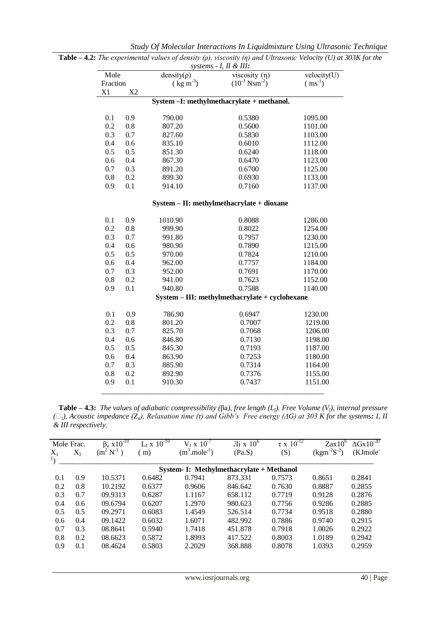|                      |     | systems - I, II & III: |                                                |                                 |  |  |
|----------------------|-----|------------------------|------------------------------------------------|---------------------------------|--|--|
| Mole                 |     | $density(\rho)$        | viscosity $(\eta)$                             | $\overline{\text{velocity}}(U)$ |  |  |
| Fraction             |     | $(\text{kg m}^3)$      | $(10^{-3} \text{ N} \text{ s} \text{m}^{-2})$  | $(ms^{-1})$                     |  |  |
| X1<br>X <sub>2</sub> |     |                        |                                                |                                 |  |  |
|                      |     |                        | System -I: methylmethacrylate + methanol.      |                                 |  |  |
| 0.1                  | 0.9 | 790.00                 | 0.5380                                         | 1095.00                         |  |  |
| 0.2                  | 0.8 | 807.20                 | 0.5600                                         | 1101.00                         |  |  |
| 0.3                  | 0.7 | 827.60                 | 0.5830                                         | 1103.00                         |  |  |
| 0.4                  | 0.6 | 835.10                 | 0.6010                                         | 1112.00                         |  |  |
| 0.5                  | 0.5 | 851.30                 | 0.6240                                         | 1118.00                         |  |  |
| 0.6                  | 0.4 | 867.30                 | 0.6470                                         | 1123.00                         |  |  |
| 0.7                  | 0.3 | 891.20                 | 0.6700                                         | 1125.00                         |  |  |
| 0.8                  | 0.2 | 899.30                 | 0.6930                                         | 1133.00                         |  |  |
| 0.9                  | 0.1 | 914.10                 | 0.7160                                         | 1137.00                         |  |  |
|                      |     |                        | System - II: methylmethacrylate + dioxane      |                                 |  |  |
| 0.1                  | 0.9 | 1010.90                | 0.8088                                         | 1286.00                         |  |  |
| 0.2                  | 0.8 | 999.90                 | 0.8022                                         | 1254.00                         |  |  |
| 0.3                  | 0.7 | 991.80                 | 0.7957                                         | 1230.00                         |  |  |
| 0.4                  | 0.6 | 980.90                 | 0.7890                                         | 1215.00                         |  |  |
| 0.5                  | 0.5 | 970.00                 | 0.7824                                         | 1210.00                         |  |  |
| 0.6                  | 0.4 | 962.00                 | 0.7757                                         | 1184.00                         |  |  |
| 0.7                  | 0.3 | 952.00                 | 0.7691                                         | 1170.00                         |  |  |
| 0.8                  | 0.2 | 941.00                 | 0.7623                                         | 1152.00                         |  |  |
| 0.9                  | 0.1 | 940.80                 | 0.7588                                         | 1140.00                         |  |  |
|                      |     |                        | System - III: methylmethacrylate + cyclohexane |                                 |  |  |
| 0.1                  | 0.9 | 786.90                 | 0.6947                                         | 1230.00                         |  |  |
| 0.2                  | 0.8 | 801.20                 | 0.7007                                         | 1219.00                         |  |  |
| 0.3                  | 0.7 | 825.70                 | 0.7068                                         | 1206.00                         |  |  |
| 0.4                  | 0.6 | 846.80                 | 0.7130                                         | 1198.00                         |  |  |
| 0.5                  | 0.5 | 845.30                 | 0.7193                                         | 1187.00                         |  |  |
| 0.6                  | 0.4 | 863.90                 | 0.7253                                         | 1180.00                         |  |  |
| 0.7                  | 0.3 | 885.90                 | 0.7314                                         | 1164.00                         |  |  |
| 0.8                  | 0.2 | 892.90                 | 0.7376                                         | 1155.00                         |  |  |
| 0.9                  | 0.1 | 910.30                 | 0.7437                                         | 1151.00                         |  |  |

*Study Of Molecular Interactions In Liquidmixture Using Ultrasonic Technique*

**Table – 4.2:** *The experimental values of density (ρ), viscosity (η) and Ultrasonic Velocity (U) at 303K for the* 

 **Table – 4.3:** *The values of adiabatic compressibility (*βa*), free length (Lf). Free Volume (Vf), internal pressure (i), Acoustic impedance (Za), Relaxation time (τ) and Gibb's Free energy (ΔG) at 303 K for the systems: I, II & III respectively.*

| $(kgm-2S-2)$<br>(KJmole <sup>-</sup> |
|--------------------------------------|
|                                      |
|                                      |
| 0.2841<br>0.8651                     |
| 0.8887<br>0.2855                     |
| 0.2876<br>0.9128                     |
| 0.9286<br>0.2885                     |
| 0.2880<br>0.9518                     |
| 0.9740<br>0.2915                     |
| 0.2922<br>1.0026                     |
| 1.0189<br>0.2942                     |
| 1.0393<br>0.2959                     |
|                                      |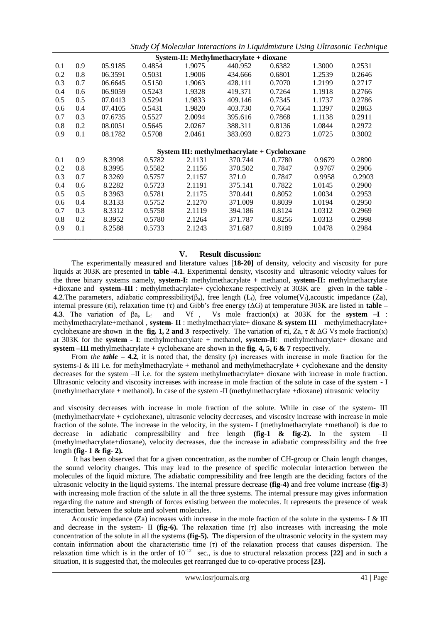*Study Of Molecular Interactions In Liquidmixture Using Ultrasonic Technique*

| System-II: Methylmethacrylate + dioxane |     |           |        |        |                                              |        |        |        |  |  |
|-----------------------------------------|-----|-----------|--------|--------|----------------------------------------------|--------|--------|--------|--|--|
| 0.1                                     | 0.9 | 05.9185   | 0.4854 | 1.9075 | 440.952                                      | 0.6382 | 1.3000 | 0.2531 |  |  |
| 0.2                                     | 0.8 | 06.3591   | 0.5031 | 1.9006 | 434.666                                      | 0.6801 | 1.2539 | 0.2646 |  |  |
| 0.3                                     | 0.7 | 06.6645   | 0.5150 | 1.9063 | 428.111                                      | 0.7070 | 1.2199 | 0.2717 |  |  |
| 0.4                                     | 0.6 | 06.9059   | 0.5243 | 1.9328 | 419.371                                      | 0.7264 | 1.1918 | 0.2766 |  |  |
| 0.5                                     | 0.5 | 07.0413   | 0.5294 | 1.9833 | 409.146                                      | 0.7345 | 1.1737 | 0.2786 |  |  |
| 0.6                                     | 0.4 | 07.4105   | 0.5431 | 1.9820 | 403.730                                      | 0.7664 | 1.1397 | 0.2863 |  |  |
| 0.7                                     | 0.3 | 07.6735   | 0.5527 | 2.0094 | 395.616                                      | 0.7868 | 1.1138 | 0.2911 |  |  |
| 0.8                                     | 0.2 | 08.0051   | 0.5645 | 2.0267 | 388.311                                      | 0.8136 | 1.0844 | 0.2972 |  |  |
| 0.9                                     | 0.1 | 08.1782   | 0.5708 | 2.0461 | 383.093                                      | 0.8273 | 1.0725 | 0.3002 |  |  |
|                                         |     |           |        |        |                                              |        |        |        |  |  |
|                                         |     |           |        |        | System III: methylmethacrylate + Cyclohexane |        |        |        |  |  |
| 0.1                                     | 0.9 | 8.3998    | 0.5782 | 2.1131 | 370.744                                      | 0.7780 | 0.9679 | 0.2890 |  |  |
| 0.2                                     | 0.8 | 8.3995    | 0.5582 | 2.1156 | 370.502                                      | 0.7847 | 0.9767 | 0.2906 |  |  |
| 0.3                                     | 0.7 | 8 3 2 6 9 | 0.5757 | 2.1157 | 371.0                                        | 0.7847 | 0.9958 | 0.2903 |  |  |
| 0.4                                     |     |           |        |        |                                              |        |        |        |  |  |
|                                         | 0.6 | 8.2282    | 0.5723 | 2.1191 | 375.141                                      | 0.7822 | 1.0145 | 0.2900 |  |  |
| 0.5                                     | 0.5 | 8 3 9 6 3 | 0.5781 | 2.1175 | 370.441                                      | 0.8052 | 1.0034 | 0.2953 |  |  |
| 0.6                                     | 0.4 | 8.3133    | 0.5752 | 2.1270 | 371.009                                      | 0.8039 | 1.0194 | 0.2950 |  |  |
| 0.7                                     | 0.3 | 8.3312    | 0.5758 | 2.1119 | 394.186                                      | 0.8124 | 1.0312 | 0.2969 |  |  |
| 0.8                                     | 0.2 | 8.3952    | 0.5780 | 2.1264 | 371.787                                      | 0.8256 | 1.0313 | 0.2998 |  |  |
| 0.9                                     | 0.1 | 8.2588    | 0.5733 | 2.1243 | 371.687                                      | 0.8189 | 1.0478 | 0.2984 |  |  |

### **V. Result discussion:**

 The experimentally measured and literature values [**18-20]** of density, velocity and viscosity for pure liquids at 303K are presented in **table -4.1**. Experimental density, viscosity and ultrasonic velocity values for the three binary systems namely, **system-I:** methylmethacrylate + methanol, **system-II:** methylmethacrylate +dioxane and **system–III** : methylmethacrylate+ cyclohexane respectively at 303K are given in the **table - 4.2**. The parameters, adiabatic compressibility( $\beta_a$ ), free length (L<sub>t</sub>), free volume(V<sub>t</sub>), acoustic impedance (Za), internal pressure (πi), relaxation time (τ) and Gibb's free energy (ΔG) at temperature 303K are listed in **table – 4.3**. The variation of βa, L<sub>f</sub> and Vf , Vs mole fraction(x) at  $303K$  for the **system –I** : methylmethacrylate+methanol , **system- II** : methylmethacrylate+ dioxane & **system III** – methylmethacrylate+ cyclohexane are shown in the **fig. 1, 2 and 3** respectively. The variation of  $\pi i$ , Za,  $\tau \& \Delta G$  Vs mole fraction(x) at 303K for the **system - I**: methylmethacrylate + methanol, **system-II**: methylmethacrylate+ dioxane and **system –III** methylmethacrylate + cyclohexane are shown in the **fig**. **4, 5, 6 & 7** respectively.

From *the table* – **4.2**, it is noted that, the density ( $\rho$ ) increases with increase in mole fraction for the systems-I & III i.e. for methylmethacrylate + methanol and methylmethacrylate + cyclohexane and the density decreases for the system –II i.e. for the system methylmethacrylate+ dioxane with increase in mole fraction. Ultrasonic velocity and viscosity increases with increase in mole fraction of the solute in case of the system - I (methylmethacrylate + methanol). In case of the system -II (methylmethacrylate +dioxane) ultrasonic velocity

and viscosity decreases with increase in mole fraction of the solute. While in case of the system- III (methylmethacrylate + cyclohexane), ultrasonic velocity decreases, and viscosity increase with increase in mole fraction of the solute. The increase in the velocity, in the system- I (methylmethacrylate +methanol) is due to decrease in adiabatic compressibility and free length **(fig-1 & fig-2).** In the system –II (methylmethacrylate+dioxane), velocity decreases, due the increase in adiabatic compressibility and the free length **(fig- 1 & fig- 2).**

 It has been observed that for a given concentration, as the number of CH-group or Chain length changes, the sound velocity changes. This may lead to the presence of specific molecular interaction between the molecules of the liquid mixture. The adiabatic compressibility and free length are the deciding factors of the ultrasonic velocity in the liquid systems. The internal pressure decrease **(fig-4)** and free volume increase (**fig-3**) with increasing mole fraction of the salute in all the three systems. The internal pressure may gives information regarding the nature and strength of forces existing between the molecules. It represents the presence of weak interaction between the solute and solvent molecules.

 Acoustic impedance (Za) increases with increase in the mole fraction of the solute in the systems- I & III and decrease in the system- II **(fig-6).** The relaxation time (τ) also increases with increasing the mole concentration of the solute in all the systems **(fig-5).** The dispersion of the ultrasonic velocity in the system may contain information about the characteristic time (τ) of the relaxation process that causes dispersion. The relaxation time which is in the order of  $10^{-12}$  sec., is due to structural relaxation process [22] and in such a situation, it is suggested that, the molecules get rearranged due to co-operative process **[23].**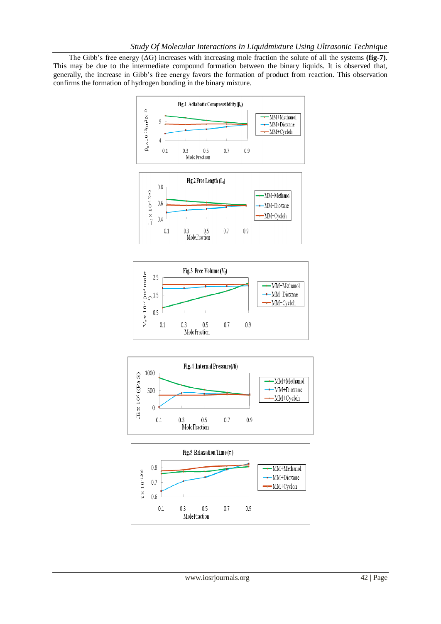The Gibb's free energy  $(\Delta G)$  increases with increasing mole fraction the solute of all the systems **(fig-7)**. This may be due to the intermediate compound formation between the binary liquids. It is observed that, generally, the increase in Gibb's free energy favors the formation of product from reaction. This observation confirms the formation of hydrogen bonding in the binary mixture.





 $0.7$ 

 $0.9$ 

 $0.1$ 

 $0.3$ 

 $0.5\,$ 

MoleFraction